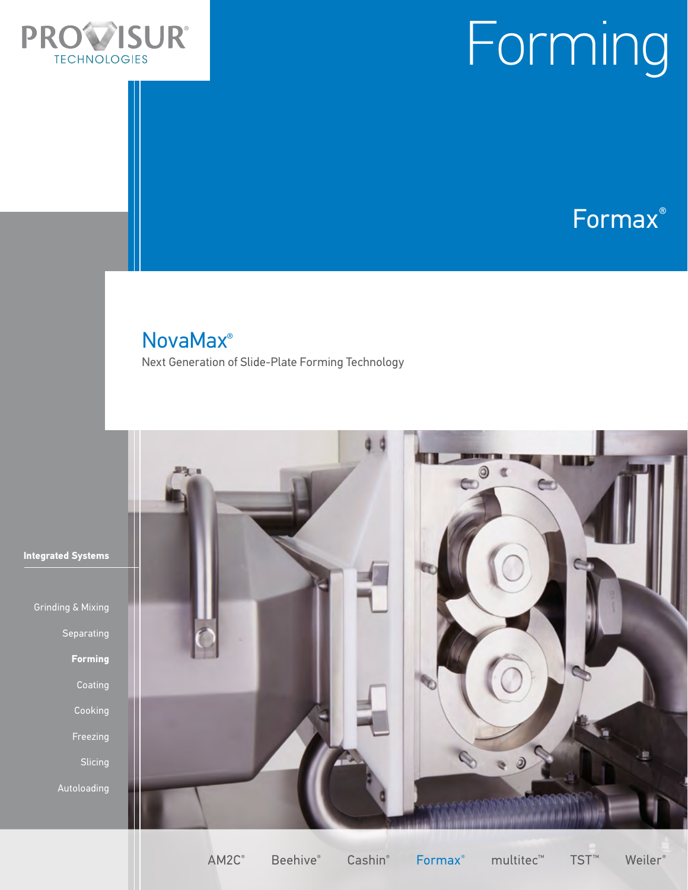

# Forming

Formax®

### NovaMax®

Next Generation of Slide-Plate Forming Technology



**Integrated Systems** 

Separating **Forming**  Freezing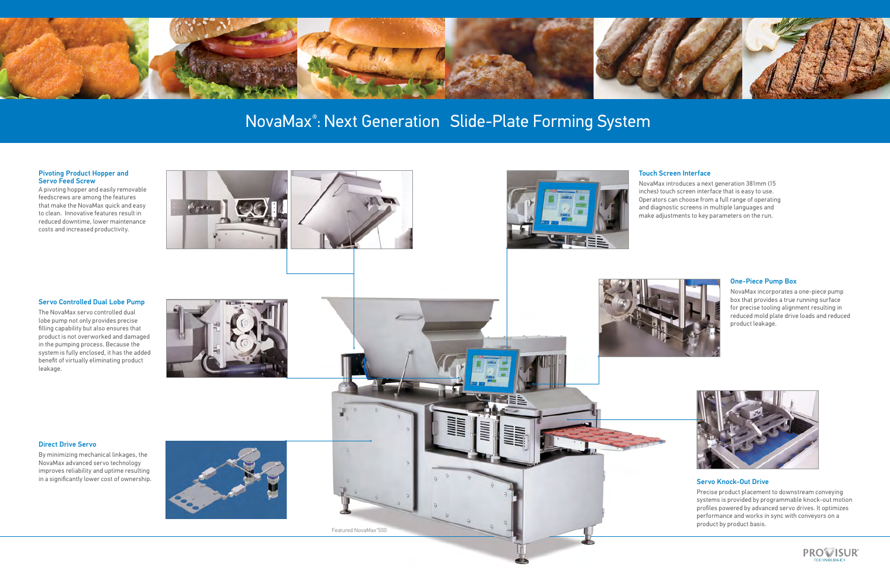#### Servo Controlled Dual Lobe Pump

The NovaMax servo controlled dual lobe pump not only provides precise filling capability but also ensures that product is not overworked and damaged in the pumping process. Because the system is fully enclosed, it has the added benefit of virtually eliminating product leakage.



#### Touch Screen Interface

NovaMax introduces a next generation 381mm (15 inches) touch screen interface that is easy to use. Operators can choose from a full range of operating and diagnostic screens in multiple languages and make adjustments to key parameters on the run.



#### One-Piece Pump Box

NovaMax incorporates a one-piece pump box that provides a true running surface for precise tooling alignment resulting in reduced mold plate drive loads and reduced product leakage.



#### Servo Knock-Out Drive

Precise product placement to downstream conveying systems is provided by programmable knock-out motion profiles powered by advanced servo drives. It optimizes performance and works in sync with conveyors on a product by product basis.



#### Pivoting Product Hopper and Servo Feed Screw

A pivoting hopper and easily removable feedscrews are among the features that make the NovaMax quick and easy to clean. Innovative features result in reduced downtime, lower maintenance costs and increased productivity.







≣≡



# NovaMax® : Next Generation Slide-Plate Forming System

Featured NovaMax® 500

#### Direct Drive Servo

By minimizing mechanical linkages, the NovaMax advanced servo technology improves reliability and uptime resulting in a significantly lower cost of ownership.